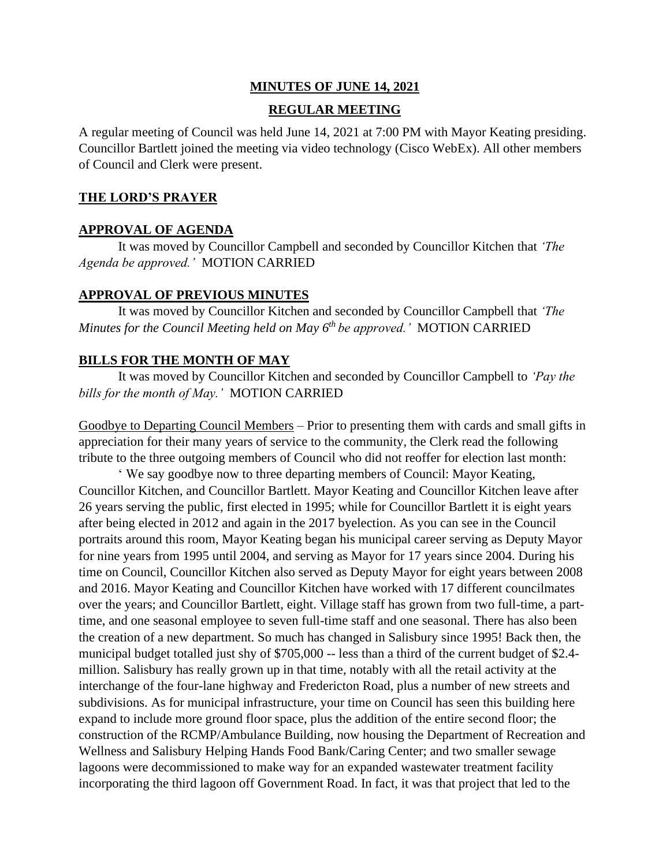### **MINUTES OF JUNE 14, 2021**

#### **REGULAR MEETING**

A regular meeting of Council was held June 14, 2021 at 7:00 PM with Mayor Keating presiding. Councillor Bartlett joined the meeting via video technology (Cisco WebEx). All other members of Council and Clerk were present.

## **THE LORD'S PRAYER**

#### **APPROVAL OF AGENDA**

It was moved by Councillor Campbell and seconded by Councillor Kitchen that *'The Agenda be approved.'* MOTION CARRIED

#### **APPROVAL OF PREVIOUS MINUTES**

It was moved by Councillor Kitchen and seconded by Councillor Campbell that *'The Minutes for the Council Meeting held on May 6 th be approved.'* MOTION CARRIED

#### **BILLS FOR THE MONTH OF MAY**

It was moved by Councillor Kitchen and seconded by Councillor Campbell to *'Pay the bills for the month of May.'* MOTION CARRIED

Goodbye to Departing Council Members – Prior to presenting them with cards and small gifts in appreciation for their many years of service to the community, the Clerk read the following tribute to the three outgoing members of Council who did not reoffer for election last month:

' We say goodbye now to three departing members of Council: Mayor Keating, Councillor Kitchen, and Councillor Bartlett. Mayor Keating and Councillor Kitchen leave after 26 years serving the public, first elected in 1995; while for Councillor Bartlett it is eight years after being elected in 2012 and again in the 2017 byelection. As you can see in the Council portraits around this room, Mayor Keating began his municipal career serving as Deputy Mayor for nine years from 1995 until 2004, and serving as Mayor for 17 years since 2004. During his time on Council, Councillor Kitchen also served as Deputy Mayor for eight years between 2008 and 2016. Mayor Keating and Councillor Kitchen have worked with 17 different councilmates over the years; and Councillor Bartlett, eight. Village staff has grown from two full-time, a parttime, and one seasonal employee to seven full-time staff and one seasonal. There has also been the creation of a new department. So much has changed in Salisbury since 1995! Back then, the municipal budget totalled just shy of \$705,000 -- less than a third of the current budget of \$2.4million. Salisbury has really grown up in that time, notably with all the retail activity at the interchange of the four-lane highway and Fredericton Road, plus a number of new streets and subdivisions. As for municipal infrastructure, your time on Council has seen this building here expand to include more ground floor space, plus the addition of the entire second floor; the construction of the RCMP/Ambulance Building, now housing the Department of Recreation and Wellness and Salisbury Helping Hands Food Bank/Caring Center; and two smaller sewage lagoons were decommissioned to make way for an expanded wastewater treatment facility incorporating the third lagoon off Government Road. In fact, it was that project that led to the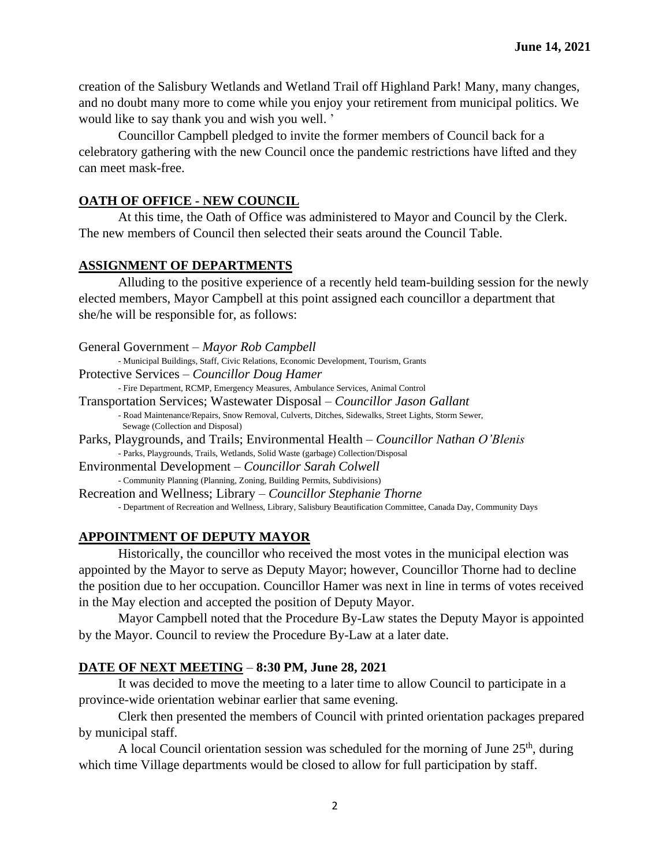creation of the Salisbury Wetlands and Wetland Trail off Highland Park! Many, many changes, and no doubt many more to come while you enjoy your retirement from municipal politics. We would like to say thank you and wish you well. '

Councillor Campbell pledged to invite the former members of Council back for a celebratory gathering with the new Council once the pandemic restrictions have lifted and they can meet mask-free.

## **OATH OF OFFICE - NEW COUNCIL**

At this time, the Oath of Office was administered to Mayor and Council by the Clerk. The new members of Council then selected their seats around the Council Table.

## **ASSIGNMENT OF DEPARTMENTS**

Alluding to the positive experience of a recently held team-building session for the newly elected members, Mayor Campbell at this point assigned each councillor a department that she/he will be responsible for, as follows:

| General Government – Mayor Rob Campbell                                                                                                 |
|-----------------------------------------------------------------------------------------------------------------------------------------|
| - Municipal Buildings, Staff, Civic Relations, Economic Development, Tourism, Grants                                                    |
| Protective Services – Councillor Doug Hamer                                                                                             |
| - Fire Department, RCMP, Emergency Measures, Ambulance Services, Animal Control                                                         |
| Transportation Services; Wastewater Disposal – <i>Councillor Jason Gallant</i>                                                          |
| - Road Maintenance/Repairs, Snow Removal, Culverts, Ditches, Sidewalks, Street Lights, Storm Sewer,<br>Sewage (Collection and Disposal) |
| Parks, Playgrounds, and Trails; Environmental Health – Councillor Nathan O'Blenis                                                       |
| - Parks, Playgrounds, Trails, Wetlands, Solid Waste (garbage) Collection/Disposal                                                       |
| Environmental Development – Councillor Sarah Colwell                                                                                    |
| - Community Planning (Planning, Zoning, Building Permits, Subdivisions)                                                                 |
| Recreation and Wellness; Library – <i>Councillor Stephanie Thorne</i>                                                                   |
| - Department of Recreation and Wellness, Library, Salisbury Beautification Committee, Canada Day, Community Days                        |
|                                                                                                                                         |

# **APPOINTMENT OF DEPUTY MAYOR**

Historically, the councillor who received the most votes in the municipal election was appointed by the Mayor to serve as Deputy Mayor; however, Councillor Thorne had to decline the position due to her occupation. Councillor Hamer was next in line in terms of votes received in the May election and accepted the position of Deputy Mayor.

Mayor Campbell noted that the Procedure By-Law states the Deputy Mayor is appointed by the Mayor. Council to review the Procedure By-Law at a later date.

# **DATE OF NEXT MEETING** – **8:30 PM, June 28, 2021**

It was decided to move the meeting to a later time to allow Council to participate in a province-wide orientation webinar earlier that same evening.

Clerk then presented the members of Council with printed orientation packages prepared by municipal staff.

A local Council orientation session was scheduled for the morning of June  $25<sup>th</sup>$ , during which time Village departments would be closed to allow for full participation by staff.